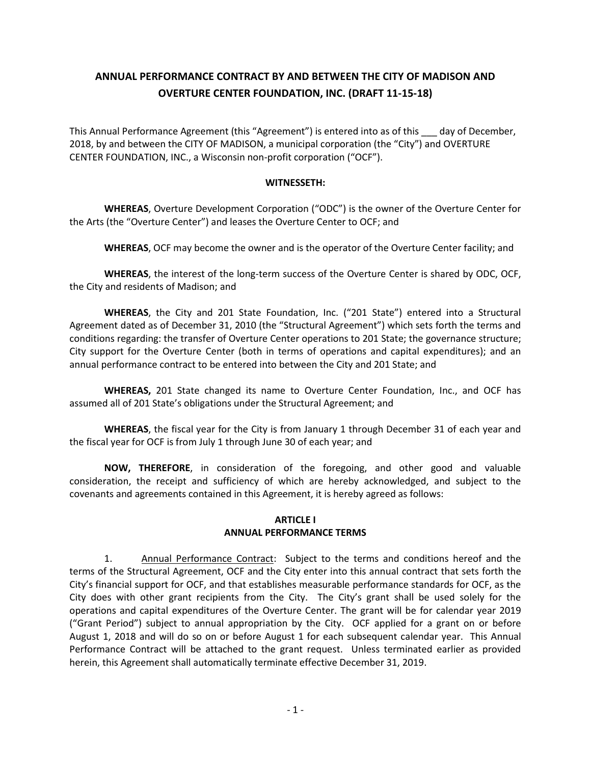# **ANNUAL PERFORMANCE CONTRACT BY AND BETWEEN THE CITY OF MADISON AND OVERTURE CENTER FOUNDATION, INC. (DRAFT 11-15-18)**

This Annual Performance Agreement (this "Agreement") is entered into as of this \_\_\_ day of December, 2018, by and between the CITY OF MADISON, a municipal corporation (the "City") and OVERTURE CENTER FOUNDATION, INC., a Wisconsin non-profit corporation ("OCF").

#### **WITNESSETH:**

**WHEREAS**, Overture Development Corporation ("ODC") is the owner of the Overture Center for the Arts (the "Overture Center") and leases the Overture Center to OCF; and

**WHEREAS**, OCF may become the owner and is the operator of the Overture Center facility; and

**WHEREAS**, the interest of the long-term success of the Overture Center is shared by ODC, OCF, the City and residents of Madison; and

**WHEREAS**, the City and 201 State Foundation, Inc. ("201 State") entered into a Structural Agreement dated as of December 31, 2010 (the "Structural Agreement") which sets forth the terms and conditions regarding: the transfer of Overture Center operations to 201 State; the governance structure; City support for the Overture Center (both in terms of operations and capital expenditures); and an annual performance contract to be entered into between the City and 201 State; and

**WHEREAS,** 201 State changed its name to Overture Center Foundation, Inc., and OCF has assumed all of 201 State's obligations under the Structural Agreement; and

**WHEREAS**, the fiscal year for the City is from January 1 through December 31 of each year and the fiscal year for OCF is from July 1 through June 30 of each year; and

**NOW, THEREFORE**, in consideration of the foregoing, and other good and valuable consideration, the receipt and sufficiency of which are hereby acknowledged, and subject to the covenants and agreements contained in this Agreement, it is hereby agreed as follows:

### **ARTICLE I ANNUAL PERFORMANCE TERMS**

1. Annual Performance Contract: Subject to the terms and conditions hereof and the terms of the Structural Agreement, OCF and the City enter into this annual contract that sets forth the City's financial support for OCF, and that establishes measurable performance standards for OCF, as the City does with other grant recipients from the City. The City's grant shall be used solely for the operations and capital expenditures of the Overture Center. The grant will be for calendar year 2019 ("Grant Period") subject to annual appropriation by the City. OCF applied for a grant on or before August 1, 2018 and will do so on or before August 1 for each subsequent calendar year. This Annual Performance Contract will be attached to the grant request. Unless terminated earlier as provided herein, this Agreement shall automatically terminate effective December 31, 2019.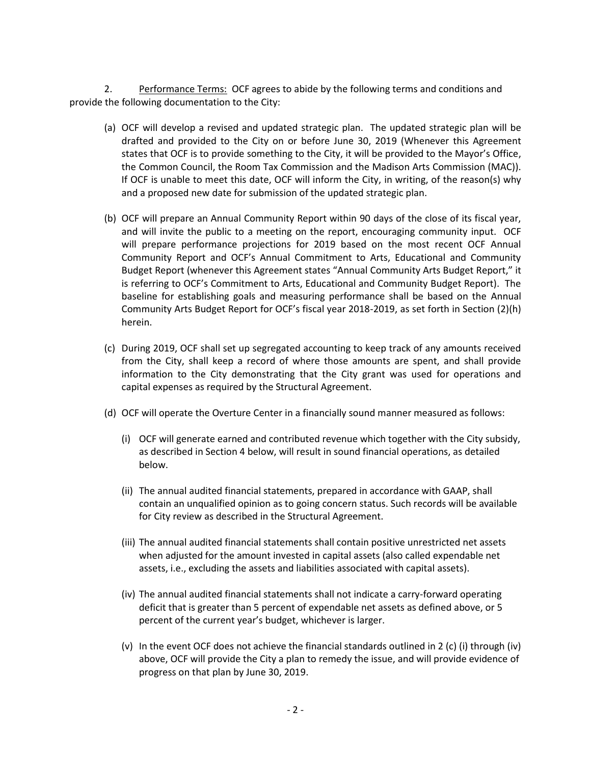2. Performance Terms: OCF agrees to abide by the following terms and conditions and provide the following documentation to the City:

- (a) OCF will develop a revised and updated strategic plan. The updated strategic plan will be drafted and provided to the City on or before June 30, 2019 (Whenever this Agreement states that OCF is to provide something to the City, it will be provided to the Mayor's Office, the Common Council, the Room Tax Commission and the Madison Arts Commission (MAC)). If OCF is unable to meet this date, OCF will inform the City, in writing, of the reason(s) why and a proposed new date for submission of the updated strategic plan.
- (b) OCF will prepare an Annual Community Report within 90 days of the close of its fiscal year, and will invite the public to a meeting on the report, encouraging community input. OCF will prepare performance projections for 2019 based on the most recent OCF Annual Community Report and OCF's Annual Commitment to Arts, Educational and Community Budget Report (whenever this Agreement states "Annual Community Arts Budget Report," it is referring to OCF's Commitment to Arts, Educational and Community Budget Report). The baseline for establishing goals and measuring performance shall be based on the Annual Community Arts Budget Report for OCF's fiscal year 2018-2019, as set forth in Section (2)(h) herein.
- (c) During 2019, OCF shall set up segregated accounting to keep track of any amounts received from the City, shall keep a record of where those amounts are spent, and shall provide information to the City demonstrating that the City grant was used for operations and capital expenses as required by the Structural Agreement.
- (d) OCF will operate the Overture Center in a financially sound manner measured as follows:
	- (i) OCF will generate earned and contributed revenue which together with the City subsidy, as described in Section 4 below, will result in sound financial operations, as detailed below.
	- (ii) The annual audited financial statements, prepared in accordance with GAAP, shall contain an unqualified opinion as to going concern status. Such records will be available for City review as described in the Structural Agreement.
	- (iii) The annual audited financial statements shall contain positive unrestricted net assets when adjusted for the amount invested in capital assets (also called expendable net assets, i.e., excluding the assets and liabilities associated with capital assets).
	- (iv) The annual audited financial statements shall not indicate a carry-forward operating deficit that is greater than 5 percent of expendable net assets as defined above, or 5 percent of the current year's budget, whichever is larger.
	- (v) In the event OCF does not achieve the financial standards outlined in 2 (c) (i) through (iv) above, OCF will provide the City a plan to remedy the issue, and will provide evidence of progress on that plan by June 30, 2019.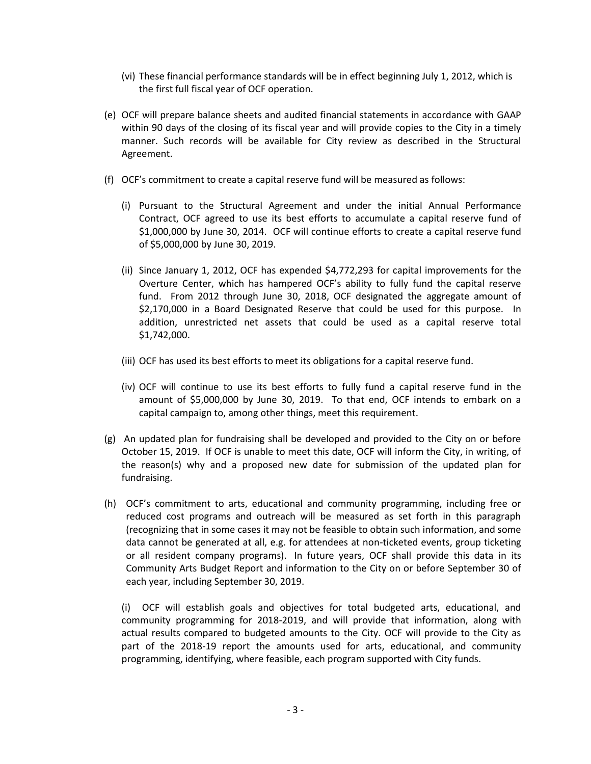- (vi) These financial performance standards will be in effect beginning July 1, 2012, which is the first full fiscal year of OCF operation.
- (e) OCF will prepare balance sheets and audited financial statements in accordance with GAAP within 90 days of the closing of its fiscal year and will provide copies to the City in a timely manner. Such records will be available for City review as described in the Structural Agreement.
- (f) OCF's commitment to create a capital reserve fund will be measured as follows:
	- (i) Pursuant to the Structural Agreement and under the initial Annual Performance Contract, OCF agreed to use its best efforts to accumulate a capital reserve fund of \$1,000,000 by June 30, 2014. OCF will continue efforts to create a capital reserve fund of \$5,000,000 by June 30, 2019.
	- (ii) Since January 1, 2012, OCF has expended \$4,772,293 for capital improvements for the Overture Center, which has hampered OCF's ability to fully fund the capital reserve fund. From 2012 through June 30, 2018, OCF designated the aggregate amount of \$2,170,000 in a Board Designated Reserve that could be used for this purpose. In addition, unrestricted net assets that could be used as a capital reserve total \$1,742,000.
	- (iii) OCF has used its best efforts to meet its obligations for a capital reserve fund.
	- (iv) OCF will continue to use its best efforts to fully fund a capital reserve fund in the amount of \$5,000,000 by June 30, 2019. To that end, OCF intends to embark on a capital campaign to, among other things, meet this requirement.
- (g) An updated plan for fundraising shall be developed and provided to the City on or before October 15, 2019. If OCF is unable to meet this date, OCF will inform the City, in writing, of the reason(s) why and a proposed new date for submission of the updated plan for fundraising.
- (h) OCF's commitment to arts, educational and community programming, including free or reduced cost programs and outreach will be measured as set forth in this paragraph (recognizing that in some cases it may not be feasible to obtain such information, and some data cannot be generated at all, e.g. for attendees at non-ticketed events, group ticketing or all resident company programs). In future years, OCF shall provide this data in its Community Arts Budget Report and information to the City on or before September 30 of each year, including September 30, 2019.

(i) OCF will establish goals and objectives for total budgeted arts, educational, and community programming for 2018-2019, and will provide that information, along with actual results compared to budgeted amounts to the City. OCF will provide to the City as part of the 2018-19 report the amounts used for arts, educational, and community programming, identifying, where feasible, each program supported with City funds.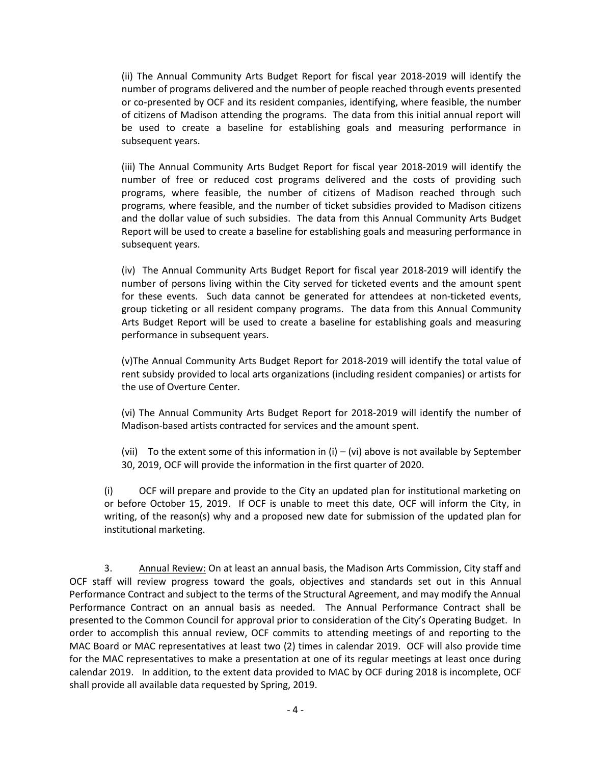(ii) The Annual Community Arts Budget Report for fiscal year 2018-2019 will identify the number of programs delivered and the number of people reached through events presented or co-presented by OCF and its resident companies, identifying, where feasible, the number of citizens of Madison attending the programs. The data from this initial annual report will be used to create a baseline for establishing goals and measuring performance in subsequent years.

(iii) The Annual Community Arts Budget Report for fiscal year 2018-2019 will identify the number of free or reduced cost programs delivered and the costs of providing such programs, where feasible, the number of citizens of Madison reached through such programs, where feasible, and the number of ticket subsidies provided to Madison citizens and the dollar value of such subsidies. The data from this Annual Community Arts Budget Report will be used to create a baseline for establishing goals and measuring performance in subsequent years.

(iv) The Annual Community Arts Budget Report for fiscal year 2018-2019 will identify the number of persons living within the City served for ticketed events and the amount spent for these events. Such data cannot be generated for attendees at non-ticketed events, group ticketing or all resident company programs. The data from this Annual Community Arts Budget Report will be used to create a baseline for establishing goals and measuring performance in subsequent years.

(v)The Annual Community Arts Budget Report for 2018-2019 will identify the total value of rent subsidy provided to local arts organizations (including resident companies) or artists for the use of Overture Center.

(vi) The Annual Community Arts Budget Report for 2018-2019 will identify the number of Madison-based artists contracted for services and the amount spent.

(vii) To the extent some of this information in  $(i) - (vi)$  above is not available by September 30, 2019, OCF will provide the information in the first quarter of 2020.

(i) OCF will prepare and provide to the City an updated plan for institutional marketing on or before October 15, 2019. If OCF is unable to meet this date, OCF will inform the City, in writing, of the reason(s) why and a proposed new date for submission of the updated plan for institutional marketing.

3. Annual Review: On at least an annual basis, the Madison Arts Commission, City staff and OCF staff will review progress toward the goals, objectives and standards set out in this Annual Performance Contract and subject to the terms of the Structural Agreement, and may modify the Annual Performance Contract on an annual basis as needed. The Annual Performance Contract shall be presented to the Common Council for approval prior to consideration of the City's Operating Budget. In order to accomplish this annual review, OCF commits to attending meetings of and reporting to the MAC Board or MAC representatives at least two (2) times in calendar 2019. OCF will also provide time for the MAC representatives to make a presentation at one of its regular meetings at least once during calendar 2019. In addition, to the extent data provided to MAC by OCF during 2018 is incomplete, OCF shall provide all available data requested by Spring, 2019.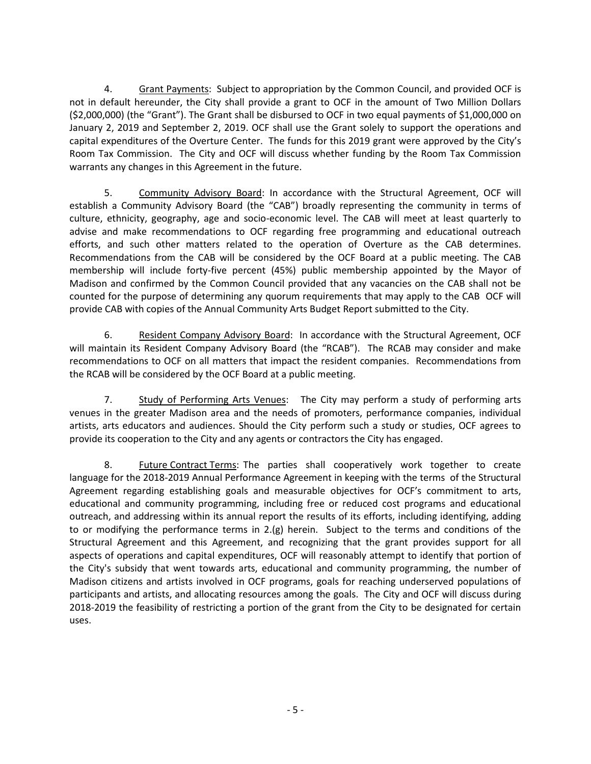4. Grant Payments: Subject to appropriation by the Common Council, and provided OCF is not in default hereunder, the City shall provide a grant to OCF in the amount of Two Million Dollars (\$2,000,000) (the "Grant"). The Grant shall be disbursed to OCF in two equal payments of \$1,000,000 on January 2, 2019 and September 2, 2019. OCF shall use the Grant solely to support the operations and capital expenditures of the Overture Center. The funds for this 2019 grant were approved by the City's Room Tax Commission. The City and OCF will discuss whether funding by the Room Tax Commission warrants any changes in this Agreement in the future.

5. Community Advisory Board: In accordance with the Structural Agreement, OCF will establish a Community Advisory Board (the "CAB") broadly representing the community in terms of culture, ethnicity, geography, age and socio-economic level. The CAB will meet at least quarterly to advise and make recommendations to OCF regarding free programming and educational outreach efforts, and such other matters related to the operation of Overture as the CAB determines. Recommendations from the CAB will be considered by the OCF Board at a public meeting. The CAB membership will include forty-five percent (45%) public membership appointed by the Mayor of Madison and confirmed by the Common Council provided that any vacancies on the CAB shall not be counted for the purpose of determining any quorum requirements that may apply to the CAB OCF will provide CAB with copies of the Annual Community Arts Budget Report submitted to the City.

6. Resident Company Advisory Board: In accordance with the Structural Agreement, OCF will maintain its Resident Company Advisory Board (the "RCAB"). The RCAB may consider and make recommendations to OCF on all matters that impact the resident companies. Recommendations from the RCAB will be considered by the OCF Board at a public meeting.

7. Study of Performing Arts Venues: The City may perform a study of performing arts venues in the greater Madison area and the needs of promoters, performance companies, individual artists, arts educators and audiences. Should the City perform such a study or studies, OCF agrees to provide its cooperation to the City and any agents or contractors the City has engaged.

8. Future Contract Terms: The parties shall cooperatively work together to create language for the 2018-2019 Annual Performance Agreement in keeping with the terms of the Structural Agreement regarding establishing goals and measurable objectives for OCF's commitment to arts, educational and community programming, including free or reduced cost programs and educational outreach, and addressing within its annual report the results of its efforts, including identifying, adding to or modifying the performance terms in 2.(g) herein. Subject to the terms and conditions of the Structural Agreement and this Agreement, and recognizing that the grant provides support for all aspects of operations and capital expenditures, OCF will reasonably attempt to identify that portion of the City's subsidy that went towards arts, educational and community programming, the number of Madison citizens and artists involved in OCF programs, goals for reaching underserved populations of participants and artists, and allocating resources among the goals. The City and OCF will discuss during 2018-2019 the feasibility of restricting a portion of the grant from the City to be designated for certain uses.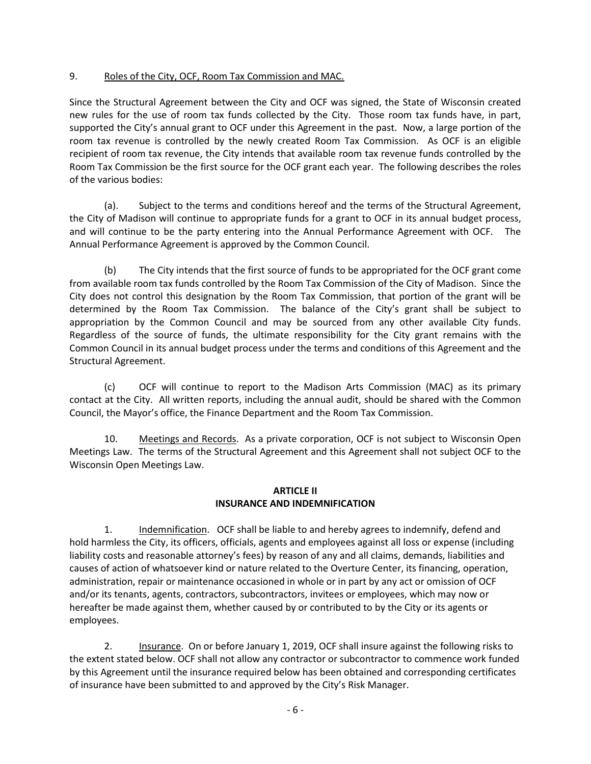# 9. Roles of the City, OCF, Room Tax Commission and MAC.

Since the Structural Agreement between the City and OCF was signed, the State of Wisconsin created new rules for the use of room tax funds collected by the City. Those room tax funds have, in part, supported the City's annual grant to OCF under this Agreement in the past. Now, a large portion of the room tax revenue is controlled by the newly created Room Tax Commission. As OCF is an eligible recipient of room tax revenue, the City intends that available room tax revenue funds controlled by the Room Tax Commission be the first source for the OCF grant each year. The following describes the roles of the various bodies:

(a). Subject to the terms and conditions hereof and the terms of the Structural Agreement, the City of Madison will continue to appropriate funds for a grant to OCF in its annual budget process, and will continue to be the party entering into the Annual Performance Agreement with OCF. The Annual Performance Agreement is approved by the Common Council.

(b) The City intends that the first source of funds to be appropriated for the OCF grant come from available room tax funds controlled by the Room Tax Commission of the City of Madison. Since the City does not control this designation by the Room Tax Commission, that portion of the grant will be determined by the Room Tax Commission. The balance of the City's grant shall be subject to appropriation by the Common Council and may be sourced from any other available City funds. Regardless of the source of funds, the ultimate responsibility for the City grant remains with the Common Council in its annual budget process under the terms and conditions of this Agreement and the Structural Agreement.

(c) OCF will continue to report to the Madison Arts Commission (MAC) as its primary contact at the City. All written reports, including the annual audit, should be shared with the Common Council, the Mayor's office, the Finance Department and the Room Tax Commission.

10. Meetings and Records. As a private corporation, OCF is not subject to Wisconsin Open Meetings Law. The terms of the Structural Agreement and this Agreement shall not subject OCF to the Wisconsin Open Meetings Law.

# **ARTICLE II INSURANCE AND INDEMNIFICATION**

1. Indemnification. OCF shall be liable to and hereby agrees to indemnify, defend and hold harmless the City, its officers, officials, agents and employees against all loss or expense (including liability costs and reasonable attorney's fees) by reason of any and all claims, demands, liabilities and causes of action of whatsoever kind or nature related to the Overture Center, its financing, operation, administration, repair or maintenance occasioned in whole or in part by any act or omission of OCF and/or its tenants, agents, contractors, subcontractors, invitees or employees, which may now or hereafter be made against them, whether caused by or contributed to by the City or its agents or employees.

2. Insurance. On or before January 1, 2019, OCF shall insure against the following risks to the extent stated below. OCF shall not allow any contractor or subcontractor to commence work funded by this Agreement until the insurance required below has been obtained and corresponding certificates of insurance have been submitted to and approved by the City's Risk Manager.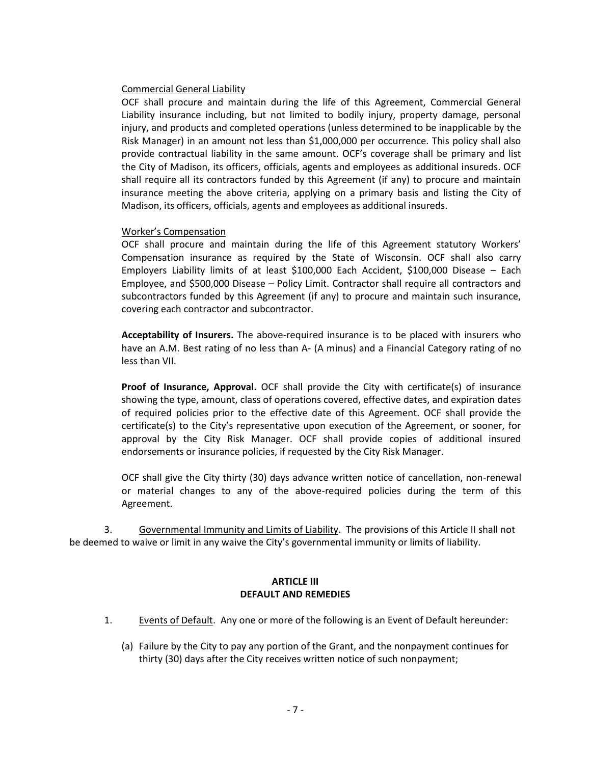#### Commercial General Liability

OCF shall procure and maintain during the life of this Agreement, Commercial General Liability insurance including, but not limited to bodily injury, property damage, personal injury, and products and completed operations (unless determined to be inapplicable by the Risk Manager) in an amount not less than \$1,000,000 per occurrence. This policy shall also provide contractual liability in the same amount. OCF's coverage shall be primary and list the City of Madison, its officers, officials, agents and employees as additional insureds. OCF shall require all its contractors funded by this Agreement (if any) to procure and maintain insurance meeting the above criteria, applying on a primary basis and listing the City of Madison, its officers, officials, agents and employees as additional insureds.

#### Worker's Compensation

OCF shall procure and maintain during the life of this Agreement statutory Workers' Compensation insurance as required by the State of Wisconsin. OCF shall also carry Employers Liability limits of at least \$100,000 Each Accident, \$100,000 Disease – Each Employee, and \$500,000 Disease – Policy Limit. Contractor shall require all contractors and subcontractors funded by this Agreement (if any) to procure and maintain such insurance, covering each contractor and subcontractor.

**Acceptability of Insurers.** The above-required insurance is to be placed with insurers who have an A.M. Best rating of no less than A- (A minus) and a Financial Category rating of no less than VII.

**Proof of Insurance, Approval.** OCF shall provide the City with certificate(s) of insurance showing the type, amount, class of operations covered, effective dates, and expiration dates of required policies prior to the effective date of this Agreement. OCF shall provide the certificate(s) to the City's representative upon execution of the Agreement, or sooner, for approval by the City Risk Manager. OCF shall provide copies of additional insured endorsements or insurance policies, if requested by the City Risk Manager.

OCF shall give the City thirty (30) days advance written notice of cancellation, non-renewal or material changes to any of the above-required policies during the term of this Agreement.

3. Governmental Immunity and Limits of Liability. The provisions of this Article II shall not be deemed to waive or limit in any waive the City's governmental immunity or limits of liability.

### **ARTICLE III DEFAULT AND REMEDIES**

- 1. Events of Default. Any one or more of the following is an Event of Default hereunder:
	- (a) Failure by the City to pay any portion of the Grant, and the nonpayment continues for thirty (30) days after the City receives written notice of such nonpayment;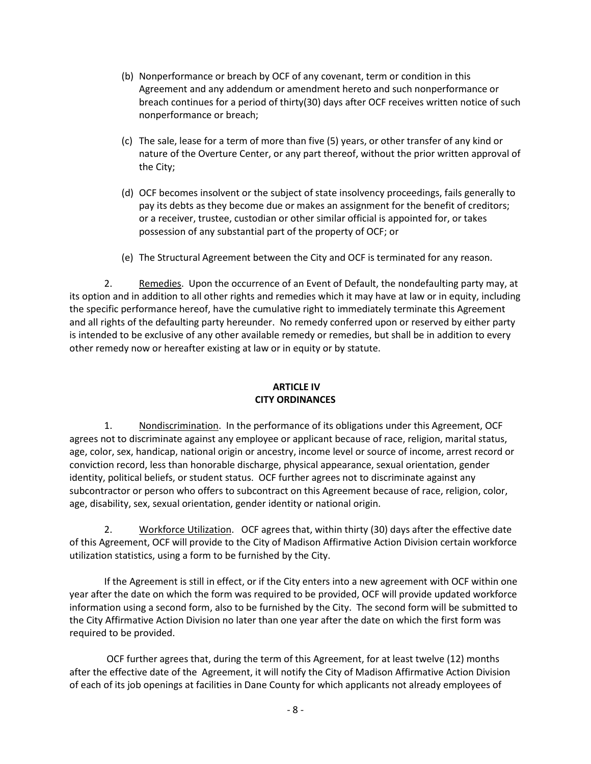- (b) Nonperformance or breach by OCF of any covenant, term or condition in this Agreement and any addendum or amendment hereto and such nonperformance or breach continues for a period of thirty(30) days after OCF receives written notice of such nonperformance or breach;
- (c) The sale, lease for a term of more than five (5) years, or other transfer of any kind or nature of the Overture Center, or any part thereof, without the prior written approval of the City;
- (d) OCF becomes insolvent or the subject of state insolvency proceedings, fails generally to pay its debts as they become due or makes an assignment for the benefit of creditors; or a receiver, trustee, custodian or other similar official is appointed for, or takes possession of any substantial part of the property of OCF; or
- (e) The Structural Agreement between the City and OCF is terminated for any reason.

2. Remedies. Upon the occurrence of an Event of Default, the nondefaulting party may, at its option and in addition to all other rights and remedies which it may have at law or in equity, including the specific performance hereof, have the cumulative right to immediately terminate this Agreement and all rights of the defaulting party hereunder. No remedy conferred upon or reserved by either party is intended to be exclusive of any other available remedy or remedies, but shall be in addition to every other remedy now or hereafter existing at law or in equity or by statute.

# **ARTICLE IV CITY ORDINANCES**

1. Nondiscrimination. In the performance of its obligations under this Agreement, OCF agrees not to discriminate against any employee or applicant because of race, religion, marital status, age, color, sex, handicap, national origin or ancestry, income level or source of income, arrest record or conviction record, less than honorable discharge, physical appearance, sexual orientation, gender identity, political beliefs, or student status. OCF further agrees not to discriminate against any subcontractor or person who offers to subcontract on this Agreement because of race, religion, color, age, disability, sex, sexual orientation, gender identity or national origin.

2. Workforce Utilization. OCF agrees that, within thirty (30) days after the effective date of this Agreement, OCF will provide to the City of Madison Affirmative Action Division certain workforce utilization statistics, using a form to be furnished by the City.

If the Agreement is still in effect, or if the City enters into a new agreement with OCF within one year after the date on which the form was required to be provided, OCF will provide updated workforce information using a second form, also to be furnished by the City. The second form will be submitted to the City Affirmative Action Division no later than one year after the date on which the first form was required to be provided.

OCF further agrees that, during the term of this Agreement, for at least twelve (12) months after the effective date of the Agreement, it will notify the City of Madison Affirmative Action Division of each of its job openings at facilities in Dane County for which applicants not already employees of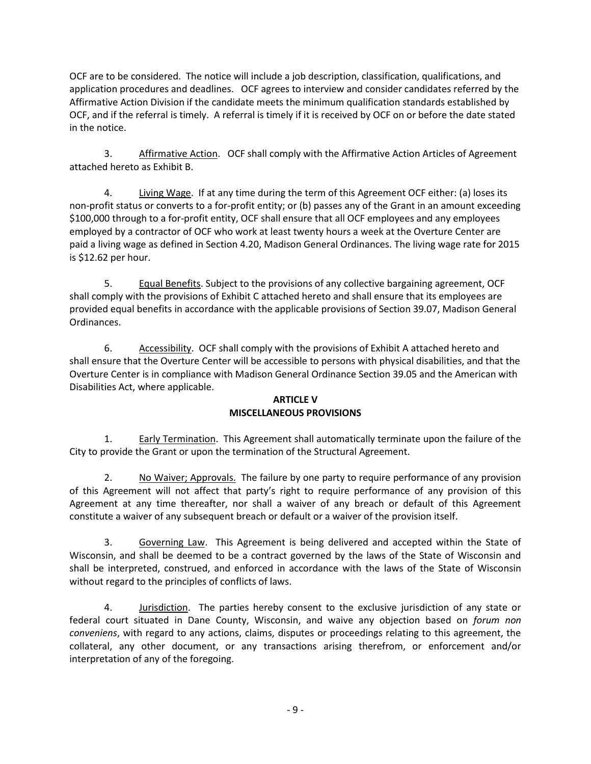OCF are to be considered. The notice will include a job description, classification, qualifications, and application procedures and deadlines. OCF agrees to interview and consider candidates referred by the Affirmative Action Division if the candidate meets the minimum qualification standards established by OCF, and if the referral is timely. A referral is timely if it is received by OCF on or before the date stated in the notice.

3. Affirmative Action. OCF shall comply with the Affirmative Action Articles of Agreement attached hereto as Exhibit B.

4. Living Wage. If at any time during the term of this Agreement OCF either: (a) loses its non-profit status or converts to a for-profit entity; or (b) passes any of the Grant in an amount exceeding \$100,000 through to a for-profit entity, OCF shall ensure that all OCF employees and any employees employed by a contractor of OCF who work at least twenty hours a week at the Overture Center are paid a living wage as defined in Section 4.20, Madison General Ordinances. The living wage rate for 2015 is \$12.62 per hour.

5. Equal Benefits. Subject to the provisions of any collective bargaining agreement, OCF shall comply with the provisions of Exhibit C attached hereto and shall ensure that its employees are provided equal benefits in accordance with the applicable provisions of Section 39.07, Madison General Ordinances.

6. Accessibility. OCF shall comply with the provisions of Exhibit A attached hereto and shall ensure that the Overture Center will be accessible to persons with physical disabilities, and that the Overture Center is in compliance with Madison General Ordinance Section 39.05 and the American with Disabilities Act, where applicable.

### **ARTICLE V MISCELLANEOUS PROVISIONS**

1. Early Termination. This Agreement shall automatically terminate upon the failure of the City to provide the Grant or upon the termination of the Structural Agreement.

2. No Waiver; Approvals. The failure by one party to require performance of any provision of this Agreement will not affect that party's right to require performance of any provision of this Agreement at any time thereafter, nor shall a waiver of any breach or default of this Agreement constitute a waiver of any subsequent breach or default or a waiver of the provision itself.

3. Governing Law. This Agreement is being delivered and accepted within the State of Wisconsin, and shall be deemed to be a contract governed by the laws of the State of Wisconsin and shall be interpreted, construed, and enforced in accordance with the laws of the State of Wisconsin without regard to the principles of conflicts of laws.

4. Jurisdiction. The parties hereby consent to the exclusive jurisdiction of any state or federal court situated in Dane County, Wisconsin, and waive any objection based on *forum non conveniens*, with regard to any actions, claims, disputes or proceedings relating to this agreement, the collateral, any other document, or any transactions arising therefrom, or enforcement and/or interpretation of any of the foregoing.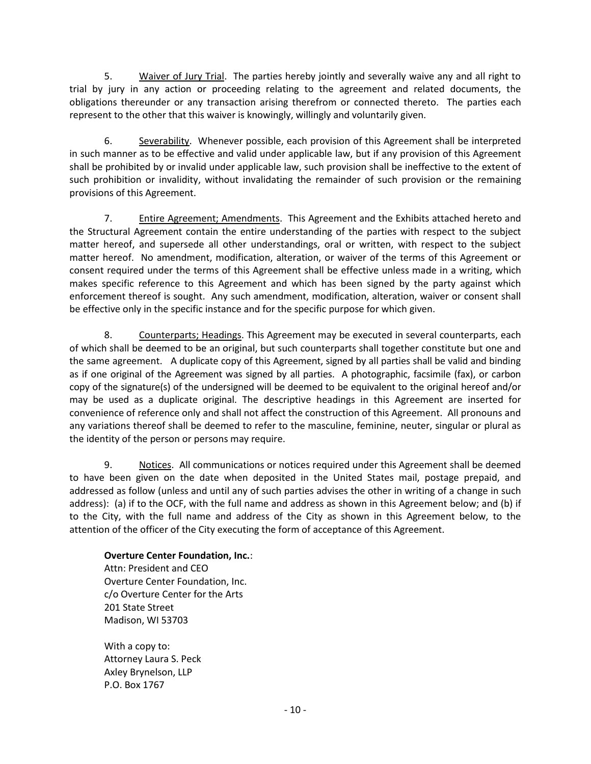5. Waiver of Jury Trial. The parties hereby jointly and severally waive any and all right to trial by jury in any action or proceeding relating to the agreement and related documents, the obligations thereunder or any transaction arising therefrom or connected thereto. The parties each represent to the other that this waiver is knowingly, willingly and voluntarily given.

6. Severability. Whenever possible, each provision of this Agreement shall be interpreted in such manner as to be effective and valid under applicable law, but if any provision of this Agreement shall be prohibited by or invalid under applicable law, such provision shall be ineffective to the extent of such prohibition or invalidity, without invalidating the remainder of such provision or the remaining provisions of this Agreement.

7. Entire Agreement; Amendments. This Agreement and the Exhibits attached hereto and the Structural Agreement contain the entire understanding of the parties with respect to the subject matter hereof, and supersede all other understandings, oral or written, with respect to the subject matter hereof. No amendment, modification, alteration, or waiver of the terms of this Agreement or consent required under the terms of this Agreement shall be effective unless made in a writing, which makes specific reference to this Agreement and which has been signed by the party against which enforcement thereof is sought. Any such amendment, modification, alteration, waiver or consent shall be effective only in the specific instance and for the specific purpose for which given.

8. Counterparts; Headings. This Agreement may be executed in several counterparts, each of which shall be deemed to be an original, but such counterparts shall together constitute but one and the same agreement. A duplicate copy of this Agreement, signed by all parties shall be valid and binding as if one original of the Agreement was signed by all parties. A photographic, facsimile (fax), or carbon copy of the signature(s) of the undersigned will be deemed to be equivalent to the original hereof and/or may be used as a duplicate original. The descriptive headings in this Agreement are inserted for convenience of reference only and shall not affect the construction of this Agreement. All pronouns and any variations thereof shall be deemed to refer to the masculine, feminine, neuter, singular or plural as the identity of the person or persons may require.

9. Notices. All communications or notices required under this Agreement shall be deemed to have been given on the date when deposited in the United States mail, postage prepaid, and addressed as follow (unless and until any of such parties advises the other in writing of a change in such address): (a) if to the OCF, with the full name and address as shown in this Agreement below; and (b) if to the City, with the full name and address of the City as shown in this Agreement below, to the attention of the officer of the City executing the form of acceptance of this Agreement.

# **Overture Center Foundation, Inc.**:

Attn: President and CEO Overture Center Foundation, Inc. c/o Overture Center for the Arts 201 State Street Madison, WI 53703

With a copy to: Attorney Laura S. Peck Axley Brynelson, LLP P.O. Box 1767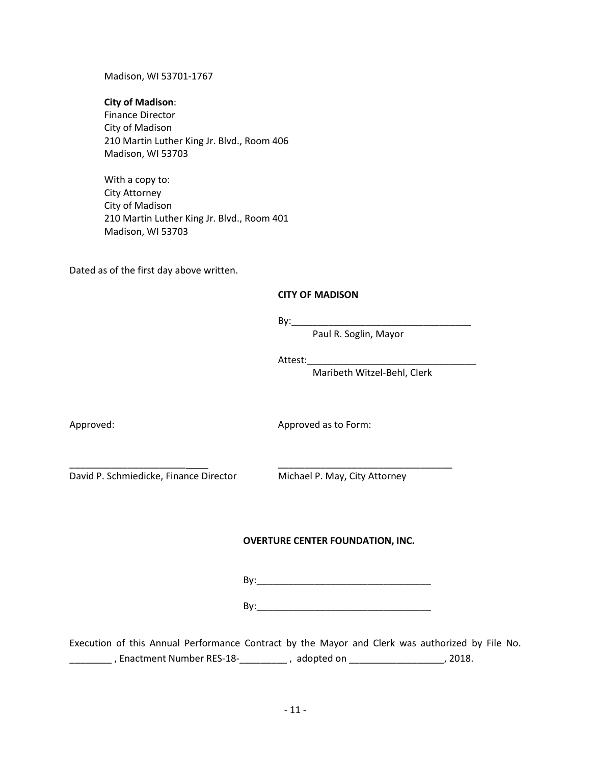Madison, WI 53701-1767

### **City of Madison**:

Finance Director City of Madison 210 Martin Luther King Jr. Blvd., Room 406 Madison, WI 53703

With a copy to: City Attorney City of Madison 210 Martin Luther King Jr. Blvd., Room 401 Madison, WI 53703

Dated as of the first day above written.

# **CITY OF MADISON**

 $By:$ 

\_\_\_\_\_\_\_\_\_\_\_\_\_\_\_\_\_\_\_\_\_\_ \_\_\_\_\_\_\_\_\_\_\_\_\_\_\_\_\_\_\_\_\_\_\_\_\_\_\_\_\_\_\_\_\_

Paul R. Soglin, Mayor

Attest:

Maribeth Witzel-Behl, Clerk

Approved: Approved as to Form:

David P. Schmiedicke, Finance Director Michael P. May, City Attorney

# **OVERTURE CENTER FOUNDATION, INC.**

By:\_\_\_\_\_\_\_\_\_\_\_\_\_\_\_\_\_\_\_\_\_\_\_\_\_\_\_\_\_\_\_\_\_

 $\mathsf{By:}\quad$ 

Execution of this Annual Performance Contract by the Mayor and Clerk was authorized by File No. \_\_\_\_\_\_\_\_ , Enactment Number RES-18-\_\_\_\_\_\_\_\_\_ , adopted on \_\_\_\_\_\_\_\_\_\_\_\_\_\_\_\_\_\_, 2018.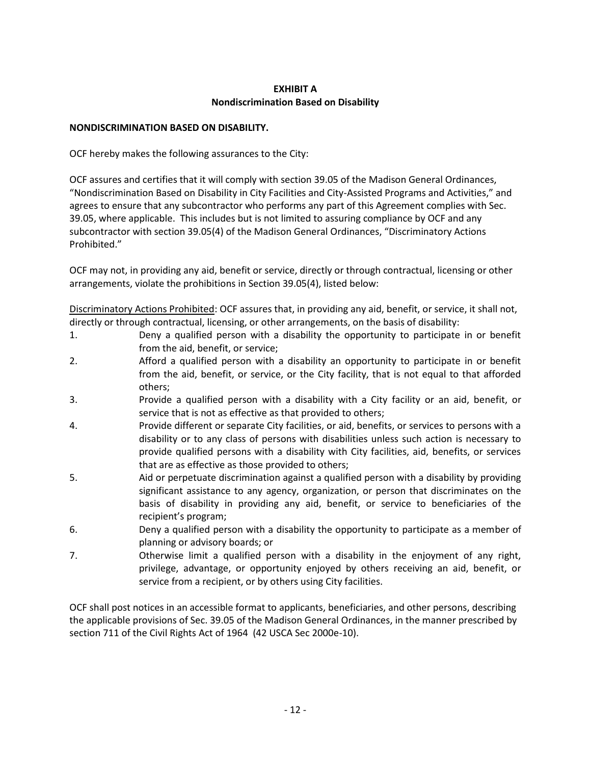# **EXHIBIT A Nondiscrimination Based on Disability**

# **NONDISCRIMINATION BASED ON DISABILITY.**

OCF hereby makes the following assurances to the City:

OCF assures and certifies that it will comply with section 39.05 of the Madison General Ordinances, "Nondiscrimination Based on Disability in City Facilities and City-Assisted Programs and Activities," and agrees to ensure that any subcontractor who performs any part of this Agreement complies with Sec. 39.05, where applicable. This includes but is not limited to assuring compliance by OCF and any subcontractor with section 39.05(4) of the Madison General Ordinances, "Discriminatory Actions Prohibited."

OCF may not, in providing any aid, benefit or service, directly or through contractual, licensing or other arrangements, violate the prohibitions in Section 39.05(4), listed below:

Discriminatory Actions Prohibited: OCF assures that, in providing any aid, benefit, or service, it shall not, directly or through contractual, licensing, or other arrangements, on the basis of disability:

- 1. Deny a qualified person with a disability the opportunity to participate in or benefit from the aid, benefit, or service;
- 2. Afford a qualified person with a disability an opportunity to participate in or benefit from the aid, benefit, or service, or the City facility, that is not equal to that afforded others;
- 3. Provide a qualified person with a disability with a City facility or an aid, benefit, or service that is not as effective as that provided to others;
- 4. Provide different or separate City facilities, or aid, benefits, or services to persons with a disability or to any class of persons with disabilities unless such action is necessary to provide qualified persons with a disability with City facilities, aid, benefits, or services that are as effective as those provided to others;
- 5. Aid or perpetuate discrimination against a qualified person with a disability by providing significant assistance to any agency, organization, or person that discriminates on the basis of disability in providing any aid, benefit, or service to beneficiaries of the recipient's program;
- 6. Deny a qualified person with a disability the opportunity to participate as a member of planning or advisory boards; or
- 7. Otherwise limit a qualified person with a disability in the enjoyment of any right, privilege, advantage, or opportunity enjoyed by others receiving an aid, benefit, or service from a recipient, or by others using City facilities.

OCF shall post notices in an accessible format to applicants, beneficiaries, and other persons, describing the applicable provisions of Sec. 39.05 of the Madison General Ordinances, in the manner prescribed by section 711 of the Civil Rights Act of 1964 (42 USCA Sec 2000e-10).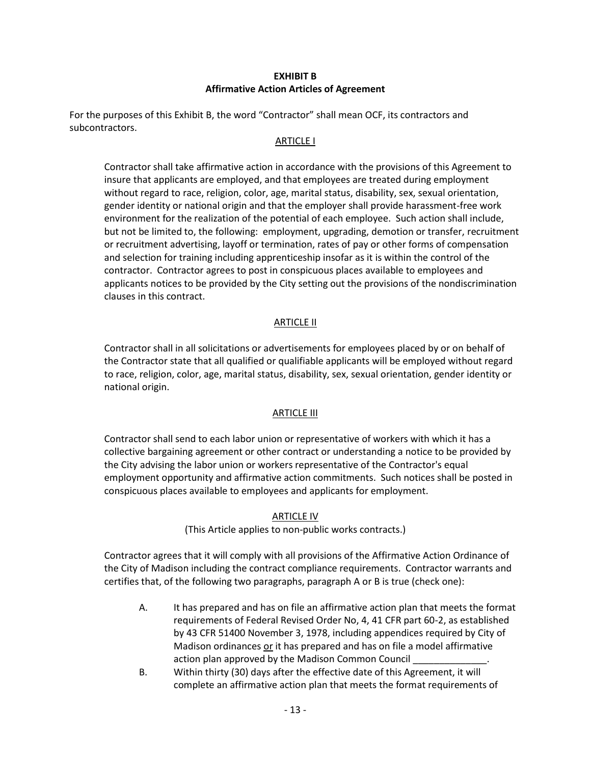# **EXHIBIT B Affirmative Action Articles of Agreement**

For the purposes of this Exhibit B, the word "Contractor" shall mean OCF, its contractors and subcontractors.

### ARTICLE I

Contractor shall take affirmative action in accordance with the provisions of this Agreement to insure that applicants are employed, and that employees are treated during employment without regard to race, religion, color, age, marital status, disability, sex, sexual orientation, gender identity or national origin and that the employer shall provide harassment-free work environment for the realization of the potential of each employee. Such action shall include, but not be limited to, the following: employment, upgrading, demotion or transfer, recruitment or recruitment advertising, layoff or termination, rates of pay or other forms of compensation and selection for training including apprenticeship insofar as it is within the control of the contractor. Contractor agrees to post in conspicuous places available to employees and applicants notices to be provided by the City setting out the provisions of the nondiscrimination clauses in this contract.

# **ARTICLE II**

Contractor shall in all solicitations or advertisements for employees placed by or on behalf of the Contractor state that all qualified or qualifiable applicants will be employed without regard to race, religion, color, age, marital status, disability, sex, sexual orientation, gender identity or national origin.

### ARTICLE III

Contractor shall send to each labor union or representative of workers with which it has a collective bargaining agreement or other contract or understanding a notice to be provided by the City advising the labor union or workers representative of the Contractor's equal employment opportunity and affirmative action commitments. Such notices shall be posted in conspicuous places available to employees and applicants for employment.

### ARTICLE IV

(This Article applies to non-public works contracts.)

Contractor agrees that it will comply with all provisions of the Affirmative Action Ordinance of the City of Madison including the contract compliance requirements. Contractor warrants and certifies that, of the following two paragraphs, paragraph A or B is true (check one):

- A. It has prepared and has on file an affirmative action plan that meets the format requirements of Federal Revised Order No, 4, 41 CFR part 60-2, as established by 43 CFR 51400 November 3, 1978, including appendices required by City of Madison ordinances or it has prepared and has on file a model affirmative action plan approved by the Madison Common Council
- B. Within thirty (30) days after the effective date of this Agreement, it will complete an affirmative action plan that meets the format requirements of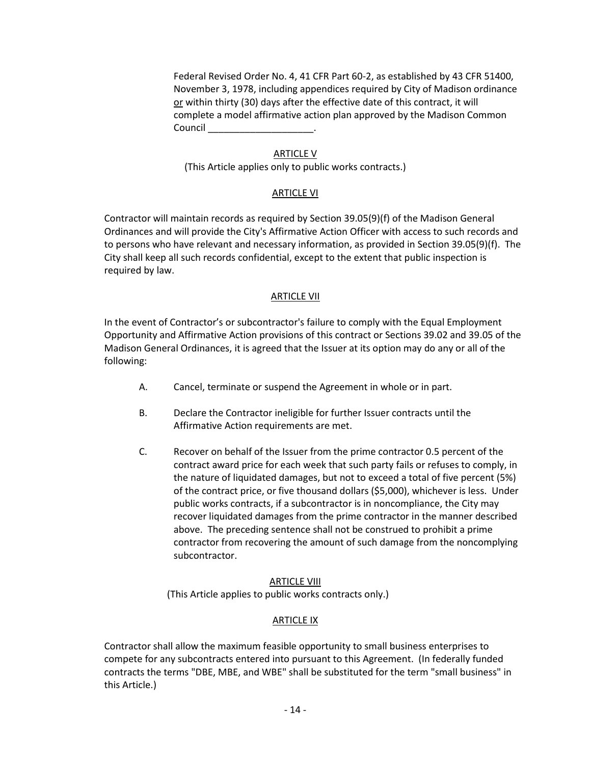Federal Revised Order No. 4, 41 CFR Part 60-2, as established by 43 CFR 51400, November 3, 1978, including appendices required by City of Madison ordinance or within thirty (30) days after the effective date of this contract, it will complete a model affirmative action plan approved by the Madison Common Council

#### ARTICLE V

(This Article applies only to public works contracts.)

#### ARTICLE VI

Contractor will maintain records as required by Section 39.05(9)(f) of the Madison General Ordinances and will provide the City's Affirmative Action Officer with access to such records and to persons who have relevant and necessary information, as provided in Section 39.05(9)(f). The City shall keep all such records confidential, except to the extent that public inspection is required by law.

### ARTICLE VII

In the event of Contractor's or subcontractor's failure to comply with the Equal Employment Opportunity and Affirmative Action provisions of this contract or Sections 39.02 and 39.05 of the Madison General Ordinances, it is agreed that the Issuer at its option may do any or all of the following:

- A. Cancel, terminate or suspend the Agreement in whole or in part.
- B. Declare the Contractor ineligible for further Issuer contracts until the Affirmative Action requirements are met.
- C. Recover on behalf of the Issuer from the prime contractor 0.5 percent of the contract award price for each week that such party fails or refuses to comply, in the nature of liquidated damages, but not to exceed a total of five percent (5%) of the contract price, or five thousand dollars (\$5,000), whichever is less. Under public works contracts, if a subcontractor is in noncompliance, the City may recover liquidated damages from the prime contractor in the manner described above. The preceding sentence shall not be construed to prohibit a prime contractor from recovering the amount of such damage from the noncomplying subcontractor.

### ARTICLE VIII

(This Article applies to public works contracts only.)

### **ARTICLE IX**

Contractor shall allow the maximum feasible opportunity to small business enterprises to compete for any subcontracts entered into pursuant to this Agreement. (In federally funded contracts the terms "DBE, MBE, and WBE" shall be substituted for the term "small business" in this Article.)